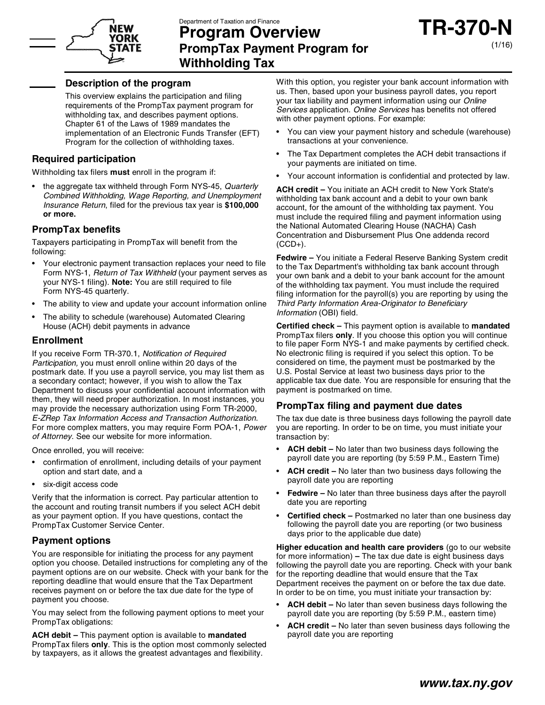

# YORK

## **Department of Taxation and Finance<br>Program Overview<br>PromnTax Payment Program for PrompTax Payment Program for Program Overvie<br>PrompTax Payment P<br><u>Withholding Tax</u>**

## **Description of the program**<br>Description of the program

This overview explains the participation and filing **Description of the program**<br>This overview explains the participation and filing<br>requirements of the PrompTax payment program for<br>withholding tox, and describes payment options This overview explains the participation and filing<br>requirements of the PrompTax payment program f<br>withholding tax, and describes payment options.<br>Chapter 61 of the Lawe of 1989 mandates the requirements of the PrompTax payment program for<br>withholding tax, and describes payment options.<br>Chapter 61 of the Laws of 1989 mandates the<br>included Transfor (FF withholding tax, and describes payment options.<br>Chapter 61 of the Laws of 1989 mandates the<br>implementation of an Electronic Funds Transfer (EFT) Program for the collection of withholding taxes.

### **Required participation**

Withholding tax filers **must** enroll in the program if:

the aggregate tax withheld through Form NYS-45, Quarterly mholding tax filers **must** enroll in the program if:<br>the aggregate tax withheld through Form NYS-45, *Quarterly*<br>*Combined Withholding, Wage Reporting, and Unemployment*<br>legurance Peturn filed for the provision tow year is the aggregate tax withheld through Form NYS-45, Quarterly<br>Combined Withholding, Wage Reporting, and Unemployment<br>Insurance Return, filed for the previous tax year is \$100,000 *Combined V*<br>*Insurance R*<br><mark>or more.</mark> *Insurance Return, filed for the previous tax year is* \$100,000 or more.<br>**PrompTax benefits** 

Taxpayers participating in PrompTax will benefit from the following: Taxpayers participating in PrompTax will benefit from the (CC<br>following:<br>• Your electronic payment transaction replaces your need to file<br>Form NYS 1. Return of Tax Withheld (your norment equation on

- owing:<br>Your electronic payment transaction replaces your need to file the the the Tour NYS-1, *Return of Tax Withheld* (your payment serves as the vour<br>Your NYS-1, *Return of Tax Withheld* (your payment serves as the vour Your electronic payment transaction replaces your need to<br>Form NYS-1, *Return of Tax Withheld* (your payment serves<br>your NYS-1 filing). **Note:** You are still required to file<br>Form NYS-45 quarterly Form NYS-1, *Return of Ta*<br>your NYS-1 filing). **Note:**<br>Form NYS-45 quarterly. your NYS-1 filing). Note: You are still required to file<br>Form NYS-45 quarterly.<br>The ability to view and update your account information online<br>I
- 
- The ability to view and update your account information online<br>• The ability to schedule (warehouse) Automated Clearing<br>House (ACH) debit perments in advance The ability to schedule (warehouse) Automated Clearing<br>House (ACH) debit payments in advance

### **Enrollment**

Enrollment<br>If you receive Form TR-370.1, Notification of Required<br>Pertigipation you must enroll opline within 20 days of the **Enrollment**<br>If you receive Form TR-370.1, *Notification of Required*<br>*Participation,* you must enroll online within 20 days of the<br>postmark data. If you use a payrell service, you may list them a If you receive Form TR-370.1, *Notification of Required* No<br> *Participation*, you must enroll online within 20 days of the<br>
postmark date. If you use a payroll service, you may list them as U.S Participation, you must enroll online within 20 days of the postmark date. If you use a payroll service, you may list them as<br>a secondary contact; however, if you wish to allow the Tax<br>Department to discuse your confidenti postmark date. If you use a payroll service, you may list them as U.<br>a secondary contact; however, if you wish to allow the Tax appeartment to discuss your confidential account information with pay a secondary contact; however, if you wish to allow the Tax appeartment to discuss your confidential account information with parties them, they will need proper authorization. In most instances, you move provided the proc Department to discuss your confidential account information with<br>them, they will need proper authorization. In most instances, you<br>may provide the necessary authorization using Form TR-2000,<br>E ZPon Tay Information Access a them, they will need proper authorization. In most instances, you may provide the necessary authorization using Form TR-2000, *E-ZRep Tax Information Access and Transaction Authorization*. For more complex matters, you may *E-ZRep Tax Information Access and Transaction Au*<br>For more complex matters, you may require Form P<br>*of Attorney*. See our website for more information. For more complex matters, you not Attorney. See our website for r<br>Once enrolled, you will receive:

- confirmation of enrollment, including details of your payment<br>• confirmation of enrollment, including details of your payment ce enrolled, you will receive:<br>confirmation of enrollment, includin<sub>!</sub><br>option and start date, and a option and start date, and a<br>• six-digit access code
- 

• six-digit access code<br>• six-digit access code<br>Verify that the information is correct. Pay particular attention to<br>the acceuti and reuting transit numbers if you coloci. ACH debit • six-digit access code<br>Verify that the information is correct. Pay particular attention to<br>the account and routing transit numbers if you select ACH debit<br>as your payment ontion. If you bays guartions, contact the Verify that the information is correct. Pay particular attention to<br>the account and routing transit numbers if you select ACH debit<br>as your payment option. If you have questions, contact the<br>PrompTax Customer Service Conte the account and routing transit number<br>as your payment option. If you have qu<br>PrompTax Customer Service Center. as your payment option. If<br>PrompTax Customer Servi<br>**Payment options** 

**Payment options**<br>You are responsible for initiating the process for any payment **Payment options**<br>You are responsible for initiating the process for any payment<br>option you choose. Detailed instructions for completing any of the<br>nayment ortions are an our website. Chook with your bank for the You are responsible for initiating the process for any payment<br>option you choose. Detailed instructions for completing any of the<br>payment options are on our website. Check with your bank for the<br>proporting doedling that wo option you choose. Detailed instructions for completing any of the payment options are on our website. Check with your bank for the reporting deadline that would ensure that the Tax Department receives payment on or before payment options are on our website. Check with your bank for the type reporting deadline that would ensure that the Tax Department<br>receives payment on or before the tax due date for the type of reporting deadline that<br>receives payment on or<br>payment you choose. receives payment on or before the tax due date for the type of<br>payment you choose.<br>You may select from the following payment options to meet your

PrompTax obligations:

**ACH debit –** This payment option is available to **mandated** PrompTax obligations:<br>**ACH debit** – This payment option is available to **mandated**<br>PrompTax filers **only**. This is the option most commonly selected<br>by taxpayers, as it allows the greatest advantages and flexibility **ACH debit** – This payment option is available to **mandated**<br>PrompTax filers **only**. This is the option most commonly selected<br>by taxpayers, as it allows the greatest advantages and flexibility.

With this option, you register your bank account information with<br>us Then besed upon your business pourall dates you report. With this option, you register your bank account information with<br>us. Then, based upon your business payroll dates, you report With this option, you register your bank account information w<br>us. Then, based upon your business payroll dates, you report<br>your tax liability and payment information using our *Online*<br>Services application. *Online* Servi us. Then, based upon your business payroll dates, you report<br>your tax liability and payment information using our *Online*<br>Services application. *Online Services* has benefits not offered<br>with other payment options. For ex your tax liability and payment information using our Online

- You can view your payment history and schedule (warehouse) transactions at your convenience. • You can view your payment history and schedule (warehouse)<br>transactions at your convenience.<br>• The Tax Department completes the ACH debit transactions if
- transactions at your convenience.<br>The Tax Department completes the ACH<br>your payments are initiated on time. • The Tax Department completes the ACH debit transactions if<br>your payments are initiated on time.<br>• Your account information is confidential and protected by law.
- 

**ACH credit –** Your information is confidential and protected by law<br> **ACH credit –** You initiate an ACH credit to New York State's<br>
withholding tax hank account and a debit to your own bank ACH credit - You initiate an ACH credit to New York State's withholding tax bank account and a debit to your own bank ACH credit – You initiate an ACH credit to New York State's<br>withholding tax bank account and a debit to your own bank<br>account, for the amount of the withholding tax payment. You<br>must include the required filing and payment withholding tax bank account and a debit to your own bank<br>account, for the amount of the withholding tax payment. You<br>must include the required filing and payment information using<br>the National Automated Clearing House (NA account, for the amount of the withholding tax payment. You<br>must include the required filing and payment information us<br>the National Automated Clearing House (NACHA) Cash<br>Concentration and Diphyrement Blue One odderde reco must include the required filing and payment information using<br>the National Automated Clearing House (NACHA) Cash<br>Concentration and Disbursement Plus One addenda record  $(CCD+)$ . Concentration and Disbursement Plus One addenda record<br>(CCD+).<br>**Fedwire –** You initiate a Federal Reserve Banking System credit<br>to the Tax Department's withholding tax hank account through

(CCD+).<br>**Fedwire –** You initiate a Federal Reserve Banking System credit<br>to the Tax Department's withholding tax bank account through<br>weur our bank and a dabit to your bank account for the amount Fedwire – You initiate a Federal Reserve Banking System credit<br>to the Tax Department's withholding tax bank account for our bank and a debit to your bank account for the amount<br>of the withholding tax payment. You must incl to the Tax Department's withholding tax bank account through<br>your own bank and a debit to your bank account for the amount<br>of the withholding tax payment. You must include the required<br>filing information for the pourall(e) your own bank and a debit to your bank account for the amount<br>of the withholding tax payment. You must include the required<br>filing information for the payroll(s) you are reporting by using the<br>Third Berty Information Area of the withholding tax payment. You must include the rec<br>filing information for the payroll(s) you are reporting by u<br>*Third Party Information Area-Originator to Beneficiary*<br>*Information (OBI)* field filing information for the part<br>*Third Party Information Are*<br>*Information* (OBI) field. Third Party Information Area-Originator to Beneficiary<br>Information (OBI) field.<br>**Certified check –** This payment option is available to **mandated** 

PrompTax filers **only**. If you choose this option you will continue **Certified check – This payment option is available to mandated**<br>PrompTax filers **only**. If you choose this option you will continue<br>to file paper Form NYS-1 and make payments by certified check.<br>No electronic filips is re PrompTax filers **only**. If you choose this option you will continue<br>to file paper Form NYS-1 and make payments by certified check.<br>No electronic filing is required if you select this option. To be<br>populated on time the pro to file paper Form NYS-1 and make payments by certified check.<br>No electronic filing is required if you select this option. To be<br>considered on time, the payment must be postmarked by the<br>LLS. Bostal Sentiop at loost two bu No electronic filing is required if you select this option. To be considered on time, the payment must be postmarked by the U.S. Postal Service at least two business days prior to the considered on time, the payment must be postmarked by the<br>U.S. Postal Service at least two business days prior to the<br>applicable tax due date. You are responsible for ensuring that the<br>payment is postmarked on time U.S. Postal Service at least two busi<br>applicable tax due date. You are resp<br>payment is postmarked on time. applicable tax due date. You are responsible for ensuring<br>payment is postmarked on time.<br>**PrompTax filing and payment due dates** 

**PrompTax filing and payment due dates**<br>The tax due date is three business days following the payroll date **Promp I ax Tiling and payment due dates**<br>The tax due date is three business days following the payroll date<br>you are reporting. In order to be on time, you must initiate your The tax due date is th<br>you are reporting. In<br>transaction by:

- **ACH debit –** No later than two business days following the nsaction by:<br>**ACH debit –** No later than two business days following the<br>payroll date you are reporting (by 5:59 P.M., Eastern Time) • **ACH debit –** No later than two business days following the<br>payroll date you are reporting (by 5:59 P.M., Eastern Time)<br>• **ACH credit –** No later than two business days following the<br>payroll date you are reporting
- ACH credit No later than two business days following the payroll date you are reporting • **ACH credit** – No later than two business days following the<br>payroll date you are reporting<br>• **Fedwire** – No later than three business days after the payroll<br>date you are reporting
- payroll date you are reporl<br>**Fedwire –** No later than th<br>date you are reporting
- date you are reporting<br>**Certified check –** Postmarked no later than one business day date you are reporting<br>**Certified check** – Postmarked no later than one business day<br>following the payroll date you are reporting (or two business **Certified check –** Postmarked no later th<br>following the payroll date you are reportin<br>days prior to the applicable due date) **Higher education and health care providers** (or two business<br>
days prior to the applicable due date)<br> **Higher education and health care providers** (go to our website<br>
for more information). The tax due date is eight busin

days prior to the applicable due date)<br>**Higher education and health care providers** (go to our website<br>for more information) – The tax due date is eight business days<br>following the payroll date you are reporting. Check wit **Higher education and health care providers** (go to our website<br>for more information) – The tax due date is eight business days<br>following the payroll date you are reporting. Check with your bank<br>for the reporting dealling for more information) – The tax due date is eight business day<br>following the payroll date you are reporting. Check with your b<br>for the reporting deadline that would ensure that the Tax<br>Department receives the payment op or following the payroll date you are reporting. Check with your bank<br>for the reporting deadline that would ensure that the Tax<br>Department receives the payment on or before the tax due date.<br>In explant to be an time, you must for the reporting deadline that would ensure that the Tax<br>Department receives the payment on or before the tax due date.<br>In order to be on time, you must initiate your transaction by: **Department receives the payment on or before the tax due date.**<br>
In order to be on time, you must initiate your transaction by:<br>
• **ACH debit –** No later than seven business days following the<br>
payroll date you are report

- ACH debit No later than seven business days following the payroll date you are reporting (by 5:59 P.M., eastern time) • **ACH debit –** No later than seven business days following the<br>payroll date you are reporting (by 5:59 P.M., eastern time)<br>• **ACH credit –** No later than seven business days following the<br>payroll date you are reporting
- payroll date you are reporting (by<br><mark>ACH credit</mark> No later than sever<br>payroll date you are reporting